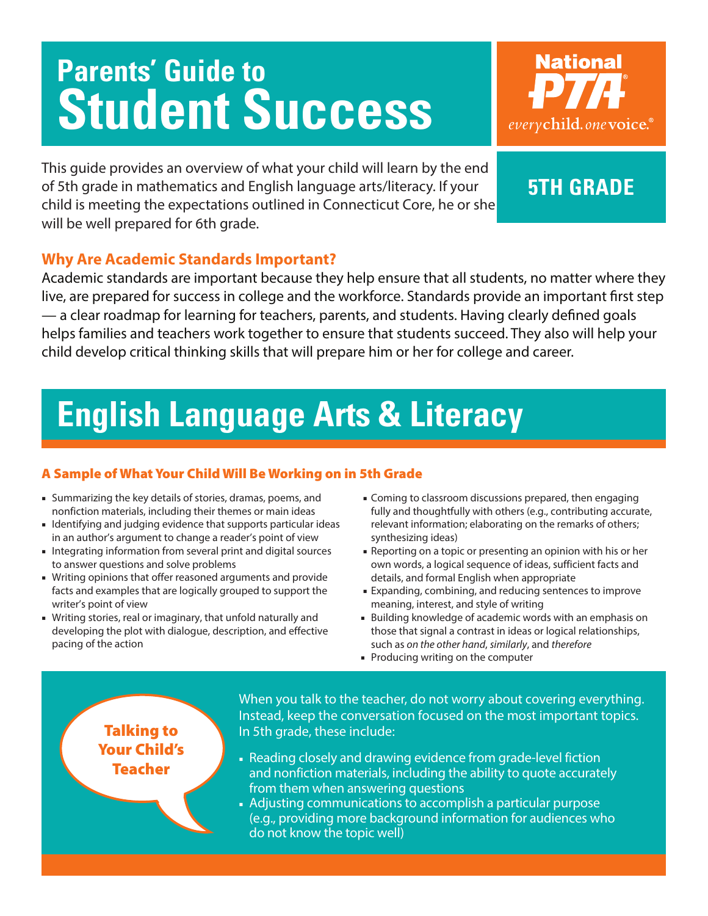# **Parents' Guide to Student Success**

**National** everychild.one voice.

This guide provides an overview of what your child will learn by the end of 5th grade in mathematics and English language arts/literacy. If your child is meeting the expectations outlined in Connecticut Core, he or she will be well prepared for 6th grade.

### **5th grade**

### **Why Are Academic Standards Important?**

Academic standards are important because they help ensure that all students, no matter where they live, are prepared for success in college and the workforce. Standards provide an important first step — a clear roadmap for learning for teachers, parents, and students. Having clearly defined goals helps families and teachers work together to ensure that students succeed. They also will help your child develop critical thinking skills that will prepare him or her for college and career.

## **English Language Arts & Literacy**

### A Sample of What Your Child Will Be Working on in 5th Grade

- Summarizing the key details of stories, dramas, poems, and nonfiction materials, including their themes or main ideas
- Identifying and judging evidence that supports particular ideas in an author's argument to change a reader's point of view
- Integrating information from several print and digital sources to answer questions and solve problems
- Writing opinions that offer reasoned arguments and provide facts and examples that are logically grouped to support the writer's point of view
- Writing stories, real or imaginary, that unfold naturally and developing the plot with dialogue, description, and effective pacing of the action
- Coming to classroom discussions prepared, then engaging fully and thoughtfully with others (e.g., contributing accurate, relevant information; elaborating on the remarks of others; synthesizing ideas)
- Reporting on a topic or presenting an opinion with his or her own words, a logical sequence of ideas, sufficient facts and details, and formal English when appropriate
- Expanding, combining, and reducing sentences to improve meaning, interest, and style of writing
- Building knowledge of academic words with an emphasis on those that signal a contrast in ideas or logical relationships, such as *on the other hand*, *similarly*, and *therefore*
- Producing writing on the computer

### Talking to Your Child's Teacher

When you talk to the teacher, do not worry about covering everything. Instead, keep the conversation focused on the most important topics. In 5th grade, these include:

- Reading closely and drawing evidence from grade-level fiction and nonfiction materials, including the ability to quote accurately from them when answering questions
- Adjusting communications to accomplish a particular purpose (e.g., providing more background information for audiences who do not know the topic well)